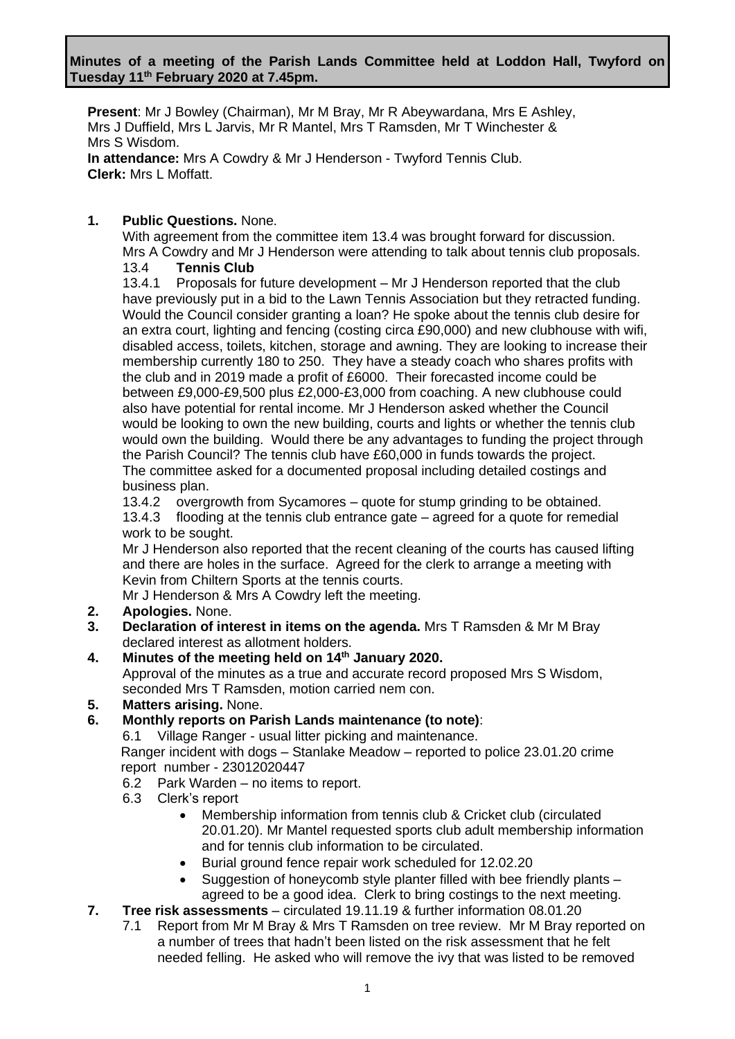**Present**: Mr J Bowley (Chairman), Mr M Bray, Mr R Abeywardana, Mrs E Ashley, Mrs J Duffield, Mrs L Jarvis, Mr R Mantel, Mrs T Ramsden, Mr T Winchester & Mrs S Wisdom. **In attendance:** Mrs A Cowdry & Mr J Henderson - Twyford Tennis Club. **Clerk:** Mrs L Moffatt.

### **1. Public Questions.** None.

With agreement from the committee item 13.4 was brought forward for discussion. Mrs A Cowdry and Mr J Henderson were attending to talk about tennis club proposals.

### 13.4 **Tennis Club**

13.4.1 Proposals for future development – Mr J Henderson reported that the club have previously put in a bid to the Lawn Tennis Association but they retracted funding. Would the Council consider granting a loan? He spoke about the tennis club desire for an extra court, lighting and fencing (costing circa £90,000) and new clubhouse with wifi, disabled access, toilets, kitchen, storage and awning. They are looking to increase their membership currently 180 to 250. They have a steady coach who shares profits with the club and in 2019 made a profit of £6000. Their forecasted income could be between £9,000-£9,500 plus £2,000-£3,000 from coaching. A new clubhouse could also have potential for rental income. Mr J Henderson asked whether the Council would be looking to own the new building, courts and lights or whether the tennis club would own the building. Would there be any advantages to funding the project through the Parish Council? The tennis club have £60,000 in funds towards the project. The committee asked for a documented proposal including detailed costings and business plan.

13.4.2 overgrowth from Sycamores – quote for stump grinding to be obtained. 13.4.3 flooding at the tennis club entrance gate – agreed for a quote for remedial work to be sought.

Mr J Henderson also reported that the recent cleaning of the courts has caused lifting and there are holes in the surface. Agreed for the clerk to arrange a meeting with Kevin from Chiltern Sports at the tennis courts.

Mr J Henderson & Mrs A Cowdry left the meeting.

- **2. Apologies.** None.
- **3. Declaration of interest in items on the agenda.** Mrs T Ramsden & Mr M Bray declared interest as allotment holders.

### **4. Minutes of the meeting held on 14th January 2020.**

Approval of the minutes as a true and accurate record proposed Mrs S Wisdom, seconded Mrs T Ramsden, motion carried nem con.

### **5. Matters arising.** None.

**6. Monthly reports on Parish Lands maintenance (to note)**:

6.1 Village Ranger - usual litter picking and maintenance.

Ranger incident with dogs – Stanlake Meadow – reported to police 23.01.20 crime report number - 23012020447

- 6.2 Park Warden no items to report.
- 6.3 Clerk's report
	- Membership information from tennis club & Cricket club (circulated 20.01.20). Mr Mantel requested sports club adult membership information and for tennis club information to be circulated.
	- Burial ground fence repair work scheduled for 12.02.20
	- Suggestion of honeycomb style planter filled with bee friendly plants agreed to be a good idea. Clerk to bring costings to the next meeting.
- **7. Tree risk assessments**  circulated 19.11.19 & further information 08.01.20
	- 7.1 Report from Mr M Bray & Mrs T Ramsden on tree review. Mr M Bray reported on a number of trees that hadn't been listed on the risk assessment that he felt needed felling. He asked who will remove the ivy that was listed to be removed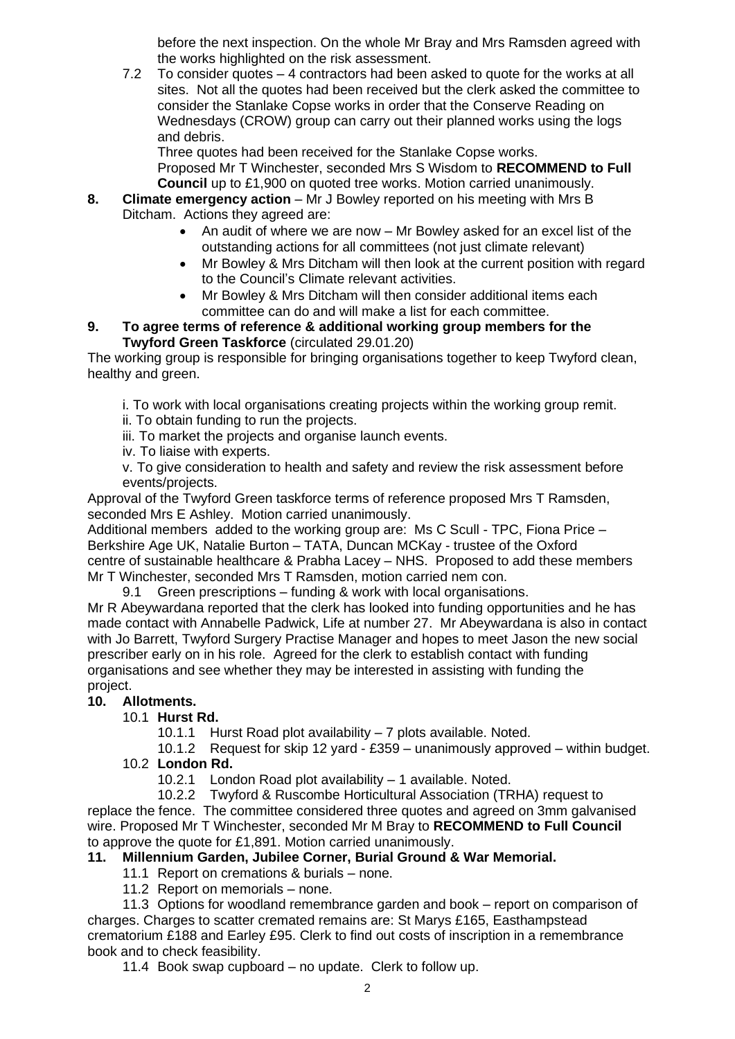before the next inspection. On the whole Mr Bray and Mrs Ramsden agreed with the works highlighted on the risk assessment.

7.2 To consider quotes – 4 contractors had been asked to quote for the works at all sites. Not all the quotes had been received but the clerk asked the committee to consider the Stanlake Copse works in order that the Conserve Reading on Wednesdays (CROW) group can carry out their planned works using the logs and debris.

Three quotes had been received for the Stanlake Copse works. Proposed Mr T Winchester, seconded Mrs S Wisdom to **RECOMMEND to Full Council** up to £1,900 on quoted tree works. Motion carried unanimously.

- **8. Climate emergency action** Mr J Bowley reported on his meeting with Mrs B Ditcham. Actions they agreed are:
	- An audit of where we are now Mr Bowley asked for an excel list of the outstanding actions for all committees (not just climate relevant)
	- Mr Bowley & Mrs Ditcham will then look at the current position with regard to the Council's Climate relevant activities.
	- Mr Bowley & Mrs Ditcham will then consider additional items each committee can do and will make a list for each committee.

### **9. To agree terms of reference & additional working group members for the Twyford Green Taskforce** (circulated 29.01.20)

The working group is responsible for bringing organisations together to keep Twyford clean, healthy and green.

i. To work with local organisations creating projects within the working group remit.

- ii. To obtain funding to run the projects.
- iii. To market the projects and organise launch events.
- iv. To liaise with experts.

v. To give consideration to health and safety and review the risk assessment before events/projects.

Approval of the Twyford Green taskforce terms of reference proposed Mrs T Ramsden, seconded Mrs E Ashley. Motion carried unanimously.

Additional members added to the working group are: Ms C Scull - TPC, Fiona Price – Berkshire Age UK, Natalie Burton – TATA, Duncan MCKay - trustee of the Oxford centre of sustainable healthcare & Prabha Lacey – NHS. Proposed to add these members Mr T Winchester, seconded Mrs T Ramsden, motion carried nem con.

9.1 Green prescriptions – funding & work with local organisations.

Mr R Abeywardana reported that the clerk has looked into funding opportunities and he has made contact with Annabelle Padwick, Life at number 27. Mr Abeywardana is also in contact with Jo Barrett, Twyford Surgery Practise Manager and hopes to meet Jason the new social prescriber early on in his role. Agreed for the clerk to establish contact with funding organisations and see whether they may be interested in assisting with funding the project.

## **10. Allotments.**

## 10.1 **Hurst Rd.**

10.1.1 Hurst Road plot availability – 7 plots available. Noted.

10.1.2 Request for skip 12 yard - £359 – unanimously approved – within budget. 10.2 **London Rd.**

10.2.1 London Road plot availability – 1 available. Noted.

10.2.2 Twyford & Ruscombe Horticultural Association (TRHA) request to replace the fence. The committee considered three quotes and agreed on 3mm galvanised wire. Proposed Mr T Winchester, seconded Mr M Bray to **RECOMMEND to Full Council** to approve the quote for £1,891. Motion carried unanimously.

## **11. Millennium Garden, Jubilee Corner, Burial Ground & War Memorial.**

- 11.1 Report on cremations & burials none.
- 11.2 Report on memorials none.

11.3 Options for woodland remembrance garden and book – report on comparison of charges. Charges to scatter cremated remains are: St Marys £165, Easthampstead crematorium £188 and Earley £95. Clerk to find out costs of inscription in a remembrance book and to check feasibility.

11.4 Book swap cupboard – no update. Clerk to follow up.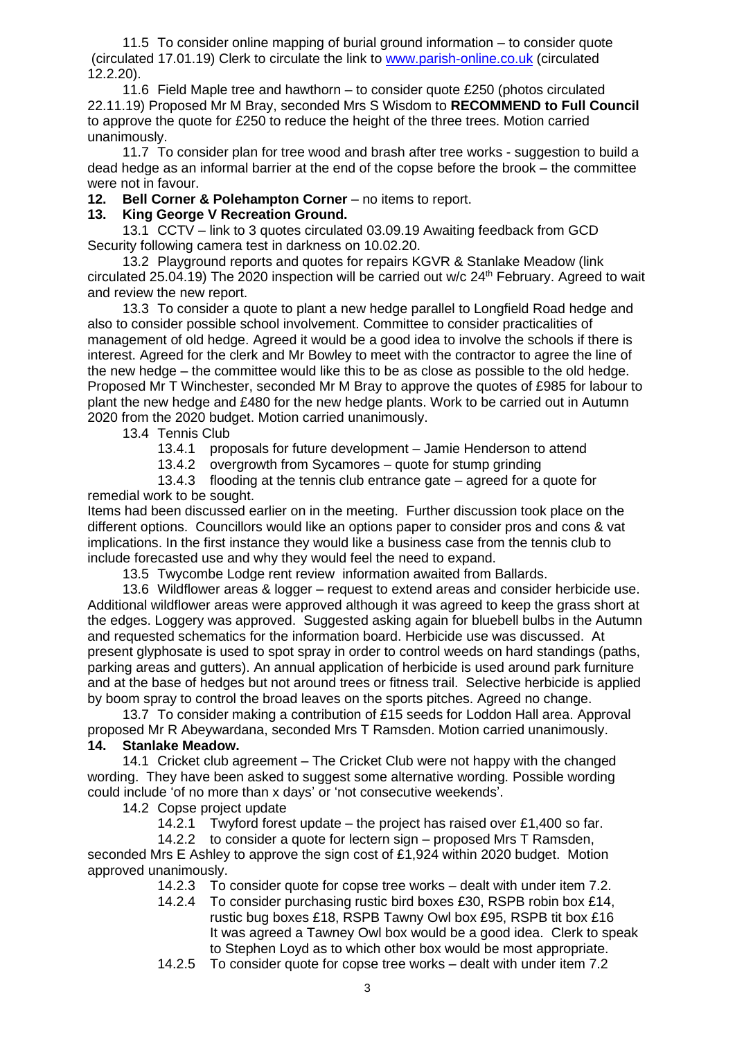11.5 To consider online mapping of burial ground information – to consider quote (circulated 17.01.19) Clerk to circulate the link to [www.parish-online.co.uk](http://www.parish-online.co.uk/) (circulated 12.2.20).

11.6 Field Maple tree and hawthorn – to consider quote £250 (photos circulated 22.11.19) Proposed Mr M Bray, seconded Mrs S Wisdom to **RECOMMEND to Full Council** to approve the quote for £250 to reduce the height of the three trees. Motion carried unanimously.

11.7 To consider plan for tree wood and brash after tree works - suggestion to build a dead hedge as an informal barrier at the end of the copse before the brook – the committee were not in favour.

**12. Bell Corner & Polehampton Corner** – no items to report.

## **13. King George V Recreation Ground.**

13.1 CCTV – link to 3 quotes circulated 03.09.19 Awaiting feedback from GCD Security following camera test in darkness on 10.02.20.

13.2 Playground reports and quotes for repairs KGVR & Stanlake Meadow (link circulated 25.04.19) The 2020 inspection will be carried out w/c 24<sup>th</sup> February. Agreed to wait and review the new report.

13.3 To consider a quote to plant a new hedge parallel to Longfield Road hedge and also to consider possible school involvement. Committee to consider practicalities of management of old hedge. Agreed it would be a good idea to involve the schools if there is interest. Agreed for the clerk and Mr Bowley to meet with the contractor to agree the line of the new hedge – the committee would like this to be as close as possible to the old hedge. Proposed Mr T Winchester, seconded Mr M Bray to approve the quotes of £985 for labour to plant the new hedge and £480 for the new hedge plants. Work to be carried out in Autumn 2020 from the 2020 budget. Motion carried unanimously.

13.4 Tennis Club

- 13.4.1 proposals for future development Jamie Henderson to attend
- 13.4.2 overgrowth from Sycamores quote for stump grinding

13.4.3 flooding at the tennis club entrance gate – agreed for a quote for remedial work to be sought.

Items had been discussed earlier on in the meeting. Further discussion took place on the different options. Councillors would like an options paper to consider pros and cons & vat implications. In the first instance they would like a business case from the tennis club to include forecasted use and why they would feel the need to expand.

13.5 Twycombe Lodge rent review information awaited from Ballards.

13.6 Wildflower areas & logger – request to extend areas and consider herbicide use. Additional wildflower areas were approved although it was agreed to keep the grass short at the edges. Loggery was approved. Suggested asking again for bluebell bulbs in the Autumn and requested schematics for the information board. Herbicide use was discussed. At present glyphosate is used to spot spray in order to control weeds on hard standings (paths, parking areas and gutters). An annual application of herbicide is used around park furniture and at the base of hedges but not around trees or fitness trail. Selective herbicide is applied by boom spray to control the broad leaves on the sports pitches. Agreed no change.

13.7 To consider making a contribution of £15 seeds for Loddon Hall area. Approval proposed Mr R Abeywardana, seconded Mrs T Ramsden. Motion carried unanimously.

### **14. Stanlake Meadow.**

14.1 Cricket club agreement – The Cricket Club were not happy with the changed wording. They have been asked to suggest some alternative wording. Possible wording could include 'of no more than x days' or 'not consecutive weekends'.

14.2 Copse project update

14.2.1 Twyford forest update – the project has raised over £1,400 so far.

14.2.2 to consider a quote for lectern sign – proposed Mrs T Ramsden, seconded Mrs E Ashley to approve the sign cost of £1,924 within 2020 budget. Motion approved unanimously.

- 14.2.3 To consider quote for copse tree works dealt with under item 7.2.
- 14.2.4 To consider purchasing rustic bird boxes £30, RSPB robin box £14, rustic bug boxes £18, RSPB Tawny Owl box £95, RSPB tit box £16 It was agreed a Tawney Owl box would be a good idea. Clerk to speak to Stephen Loyd as to which other box would be most appropriate.
- 14.2.5 To consider quote for copse tree works dealt with under item 7.2